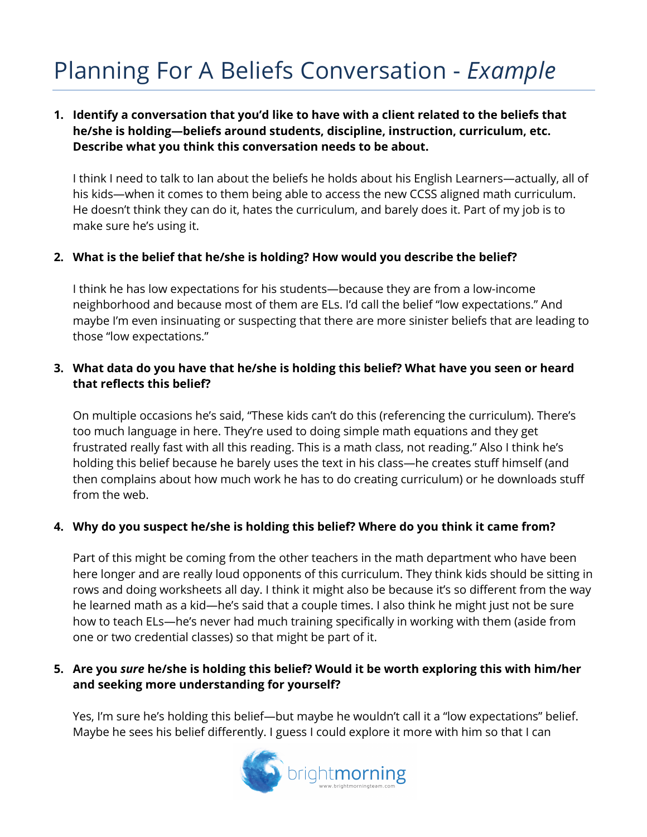# Planning For A Beliefs Conversation - *Example*

## **1. Identify a conversation that you'd like to have with a client related to the beliefs that he/she is holding—beliefs around students, discipline, instruction, curriculum, etc. Describe what you think this conversation needs to be about.**

I think I need to talk to Ian about the beliefs he holds about his English Learners—actually, all of his kids—when it comes to them being able to access the new CCSS aligned math curriculum. He doesn't think they can do it, hates the curriculum, and barely does it. Part of my job is to make sure he's using it.

## **2. What is the belief that he/she is holding? How would you describe the belief?**

I think he has low expectations for his students—because they are from a low-income neighborhood and because most of them are ELs. I'd call the belief "low expectations." And maybe I'm even insinuating or suspecting that there are more sinister beliefs that are leading to those "low expectations."

#### **3. What data do you have that he/she is holding this belief? What have you seen or heard that reflects this belief?**

On multiple occasions he's said, "These kids can't do this (referencing the curriculum). There's too much language in here. They're used to doing simple math equations and they get frustrated really fast with all this reading. This is a math class, not reading." Also I think he's holding this belief because he barely uses the text in his class—he creates stuff himself (and then complains about how much work he has to do creating curriculum) or he downloads stuff from the web.

## **4. Why do you suspect he/she is holding this belief? Where do you think it came from?**

Part of this might be coming from the other teachers in the math department who have been here longer and are really loud opponents of this curriculum. They think kids should be sitting in rows and doing worksheets all day. I think it might also be because it's so different from the way he learned math as a kid—he's said that a couple times. I also think he might just not be sure how to teach ELs—he's never had much training specifically in working with them (aside from one or two credential classes) so that might be part of it.

## **5. Are you** *sure* **he/she is holding this belief? Would it be worth exploring this with him/her and seeking more understanding for yourself?**

Yes, I'm sure he's holding this belief—but maybe he wouldn't call it a "low expectations" belief. Maybe he sees his belief differently. I guess I could explore it more with him so that I can

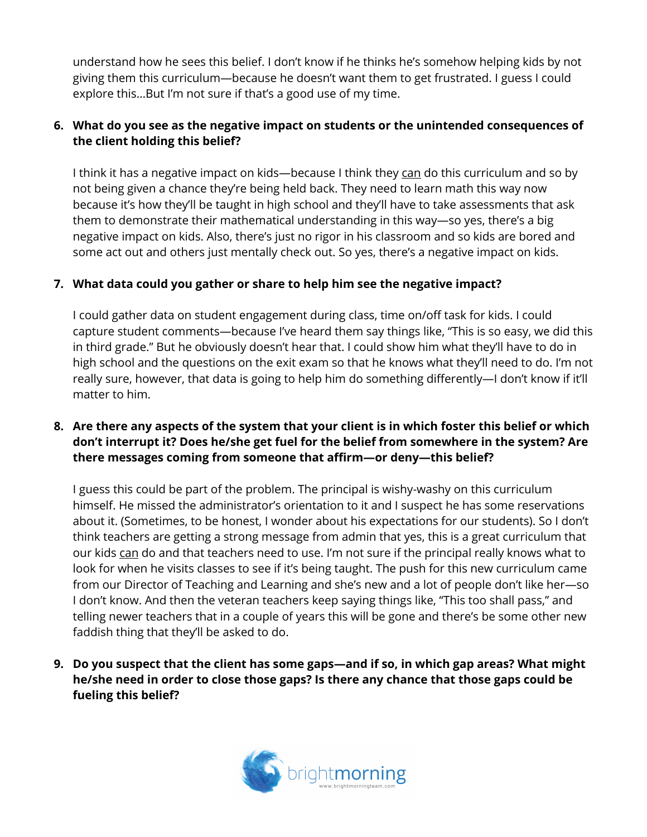understand how he sees this belief. I don't know if he thinks he's somehow helping kids by not giving them this curriculum—because he doesn't want them to get frustrated. I guess I could explore this…But I'm not sure if that's a good use of my time.

## **6. What do you see as the negative impact on students or the unintended consequences of the client holding this belief?**

I think it has a negative impact on kids—because I think they can do this curriculum and so by not being given a chance they're being held back. They need to learn math this way now because it's how they'll be taught in high school and they'll have to take assessments that ask them to demonstrate their mathematical understanding in this way—so yes, there's a big negative impact on kids. Also, there's just no rigor in his classroom and so kids are bored and some act out and others just mentally check out. So yes, there's a negative impact on kids.

## **7. What data could you gather or share to help him see the negative impact?**

I could gather data on student engagement during class, time on/off task for kids. I could capture student comments—because I've heard them say things like, "This is so easy, we did this in third grade." But he obviously doesn't hear that. I could show him what they'll have to do in high school and the questions on the exit exam so that he knows what they'll need to do. I'm not really sure, however, that data is going to help him do something differently—I don't know if it'll matter to him.

## **8. Are there any aspects of the system that your client is in which foster this belief or which don't interrupt it? Does he/she get fuel for the belief from somewhere in the system? Are there messages coming from someone that affirm—or deny—this belief?**

I guess this could be part of the problem. The principal is wishy-washy on this curriculum himself. He missed the administrator's orientation to it and I suspect he has some reservations about it. (Sometimes, to be honest, I wonder about his expectations for our students). So I don't think teachers are getting a strong message from admin that yes, this is a great curriculum that our kids can do and that teachers need to use. I'm not sure if the principal really knows what to look for when he visits classes to see if it's being taught. The push for this new curriculum came from our Director of Teaching and Learning and she's new and a lot of people don't like her—so I don't know. And then the veteran teachers keep saying things like, "This too shall pass," and telling newer teachers that in a couple of years this will be gone and there's be some other new faddish thing that they'll be asked to do.

**9. Do you suspect that the client has some gaps—and if so, in which gap areas? What might he/she need in order to close those gaps? Is there any chance that those gaps could be fueling this belief?** 

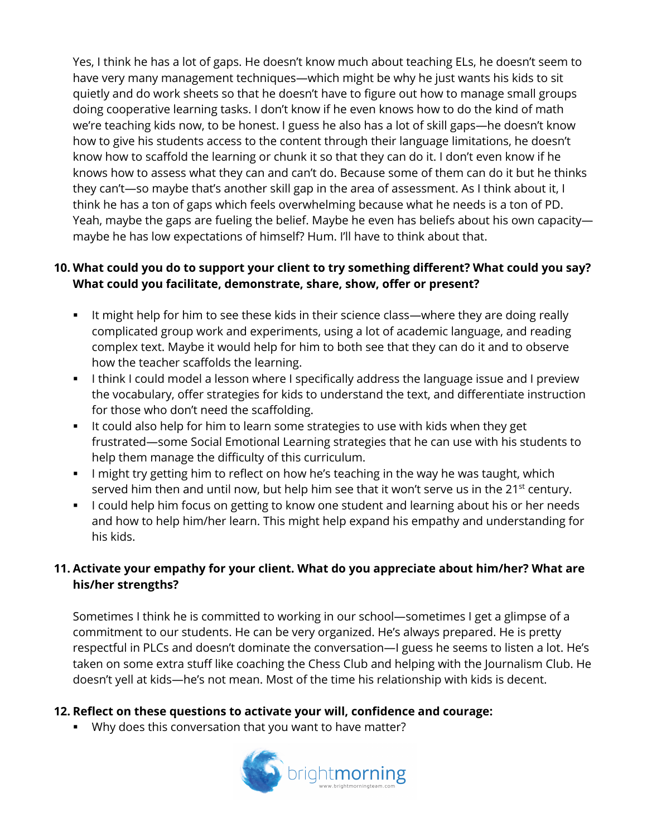Yes, I think he has a lot of gaps. He doesn't know much about teaching ELs, he doesn't seem to have very many management techniques—which might be why he just wants his kids to sit quietly and do work sheets so that he doesn't have to figure out how to manage small groups doing cooperative learning tasks. I don't know if he even knows how to do the kind of math we're teaching kids now, to be honest. I guess he also has a lot of skill gaps—he doesn't know how to give his students access to the content through their language limitations, he doesn't know how to scaffold the learning or chunk it so that they can do it. I don't even know if he knows how to assess what they can and can't do. Because some of them can do it but he thinks they can't—so maybe that's another skill gap in the area of assessment. As I think about it, I think he has a ton of gaps which feels overwhelming because what he needs is a ton of PD. Yeah, maybe the gaps are fueling the belief. Maybe he even has beliefs about his own capacity maybe he has low expectations of himself? Hum. I'll have to think about that.

## **10. What could you do to support your client to try something different? What could you say? What could you facilitate, demonstrate, share, show, offer or present?**

- It might help for him to see these kids in their science class—where they are doing really complicated group work and experiments, using a lot of academic language, and reading complex text. Maybe it would help for him to both see that they can do it and to observe how the teacher scaffolds the learning.
- **I think I could model a lesson where I specifically address the language issue and I preview** the vocabulary, offer strategies for kids to understand the text, and differentiate instruction for those who don't need the scaffolding.
- It could also help for him to learn some strategies to use with kids when they get frustrated—some Social Emotional Learning strategies that he can use with his students to help them manage the difficulty of this curriculum.
- **•** I might try getting him to reflect on how he's teaching in the way he was taught, which served him then and until now, but help him see that it won't serve us in the 21<sup>st</sup> century.
- **I could help him focus on getting to know one student and learning about his or her needs** and how to help him/her learn. This might help expand his empathy and understanding for his kids.

## **11. Activate your empathy for your client. What do you appreciate about him/her? What are his/her strengths?**

Sometimes I think he is committed to working in our school—sometimes I get a glimpse of a commitment to our students. He can be very organized. He's always prepared. He is pretty respectful in PLCs and doesn't dominate the conversation—I guess he seems to listen a lot. He's taken on some extra stuff like coaching the Chess Club and helping with the Journalism Club. He doesn't yell at kids—he's not mean. Most of the time his relationship with kids is decent.

## **12. Reflect on these questions to activate your will, confidence and courage:**

§ Why does this conversation that you want to have matter?